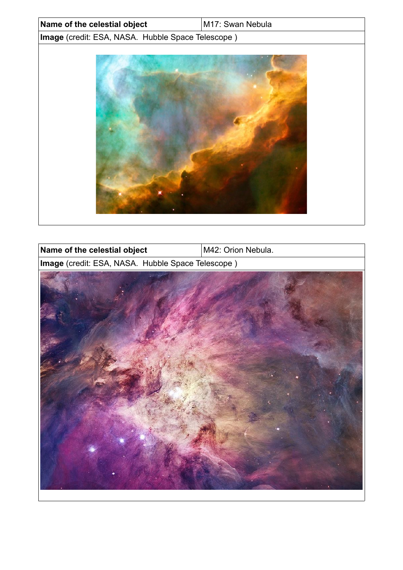| Name of the celestial object                      | M17: Swan Nebula |
|---------------------------------------------------|------------------|
| Image (credit: ESA, NASA. Hubble Space Telescope) |                  |
|                                                   |                  |
|                                                   |                  |
|                                                   |                  |
|                                                   |                  |
|                                                   |                  |
|                                                   |                  |
|                                                   |                  |
|                                                   |                  |
|                                                   |                  |
|                                                   |                  |
|                                                   |                  |
|                                                   |                  |
|                                                   |                  |

 $\overline{\phantom{a}}$ 

| Name of the celestial object                      | M42: Orion Nebula. |
|---------------------------------------------------|--------------------|
| Image (credit: ESA, NASA. Hubble Space Telescope) |                    |
|                                                   |                    |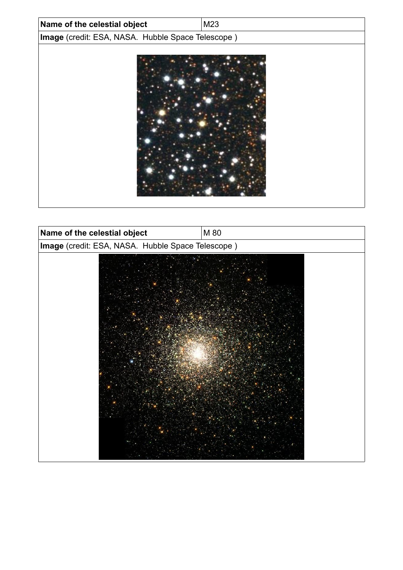| Name of the celestial object                      | M23 |
|---------------------------------------------------|-----|
| Image (credit: ESA, NASA. Hubble Space Telescope) |     |
|                                                   |     |

| Name of the celestial object                      | M 80 |
|---------------------------------------------------|------|
| Image (credit: ESA, NASA. Hubble Space Telescope) |      |
|                                                   |      |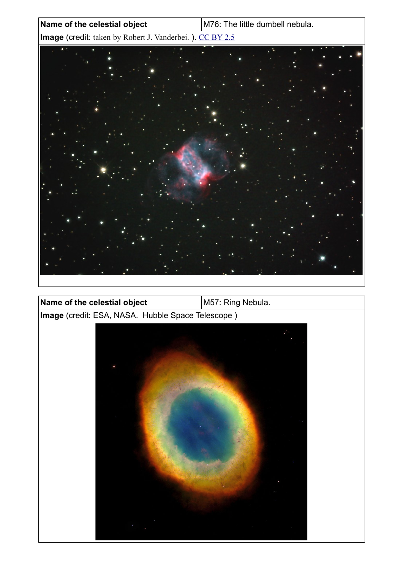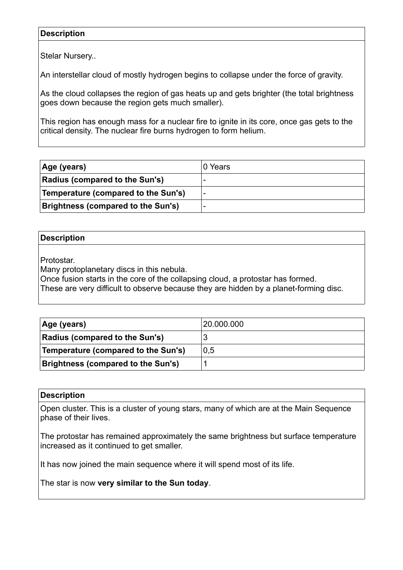## **Description**

Stelar Nursery..

An interstellar cloud of mostly hydrogen begins to collapse under the force of gravity.

As the cloud collapses the region of gas heats up and gets brighter (the total brightness goes down because the region gets much smaller).

This region has enough mass for a nuclear fire to ignite in its core, once gas gets to the critical density. The nuclear fire burns hydrogen to form helium.

| Age (years)                         | ∣0 Years |
|-------------------------------------|----------|
| Radius (compared to the Sun's)      |          |
| Temperature (compared to the Sun's) |          |
| Brightness (compared to the Sun's)  |          |

## **Description**

Protostar.

Many protoplanetary discs in this nebula.

Once fusion starts in the core of the collapsing cloud, a protostar has formed.

These are very difficult to observe because they are hidden by a planet-forming disc.

| Age (years)                               | 120.000.000 |
|-------------------------------------------|-------------|
| <b>Radius (compared to the Sun's)</b>     |             |
| Temperature (compared to the Sun's)       | 0,5         |
| <b>Brightness (compared to the Sun's)</b> |             |

#### **Description**

Open cluster. This is a cluster of young stars, many of which are at the Main Sequence phase of their lives.

The protostar has remained approximately the same brightness but surface temperature increased as it continued to get smaller.

It has now joined the main sequence where it will spend most of its life.

The star is now **very similar to the Sun today**.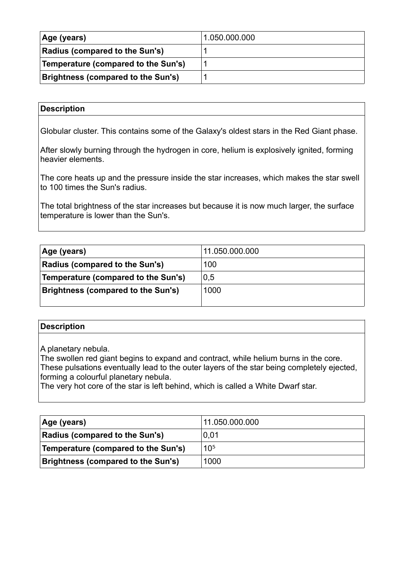| Age (years)                               | 1.050.000.000 |
|-------------------------------------------|---------------|
| Radius (compared to the Sun's)            |               |
| Temperature (compared to the Sun's)       |               |
| <b>Brightness (compared to the Sun's)</b> |               |

## **Description**

Globular cluster. This contains some of the Galaxy's oldest stars in the Red Giant phase.

After slowly burning through the hydrogen in core, helium is explosively ignited, forming heavier elements.

The core heats up and the pressure inside the star increases, which makes the star swell to 100 times the Sun's radius.

The total brightness of the star increases but because it is now much larger, the surface temperature is lower than the Sun's.

| Age (years)                               | 11.050.000.000 |
|-------------------------------------------|----------------|
| <b>Radius (compared to the Sun's)</b>     | 100            |
| Temperature (compared to the Sun's)       | 0,5            |
| <b>Brightness (compared to the Sun's)</b> | 1000           |
|                                           |                |

#### **Description**

A planetary nebula.

The swollen red giant begins to expand and contract, while helium burns in the core. These pulsations eventually lead to the outer layers of the star being completely ejected, forming a colourful planetary nebula.

The very hot core of the star is left behind, which is called a White Dwarf star.

| Age (years)                               | 11.050.000.000  |
|-------------------------------------------|-----------------|
| Radius (compared to the Sun's)            | 0,01            |
| Temperature (compared to the Sun's)       | 10 <sup>5</sup> |
| <b>Brightness (compared to the Sun's)</b> | 1000            |